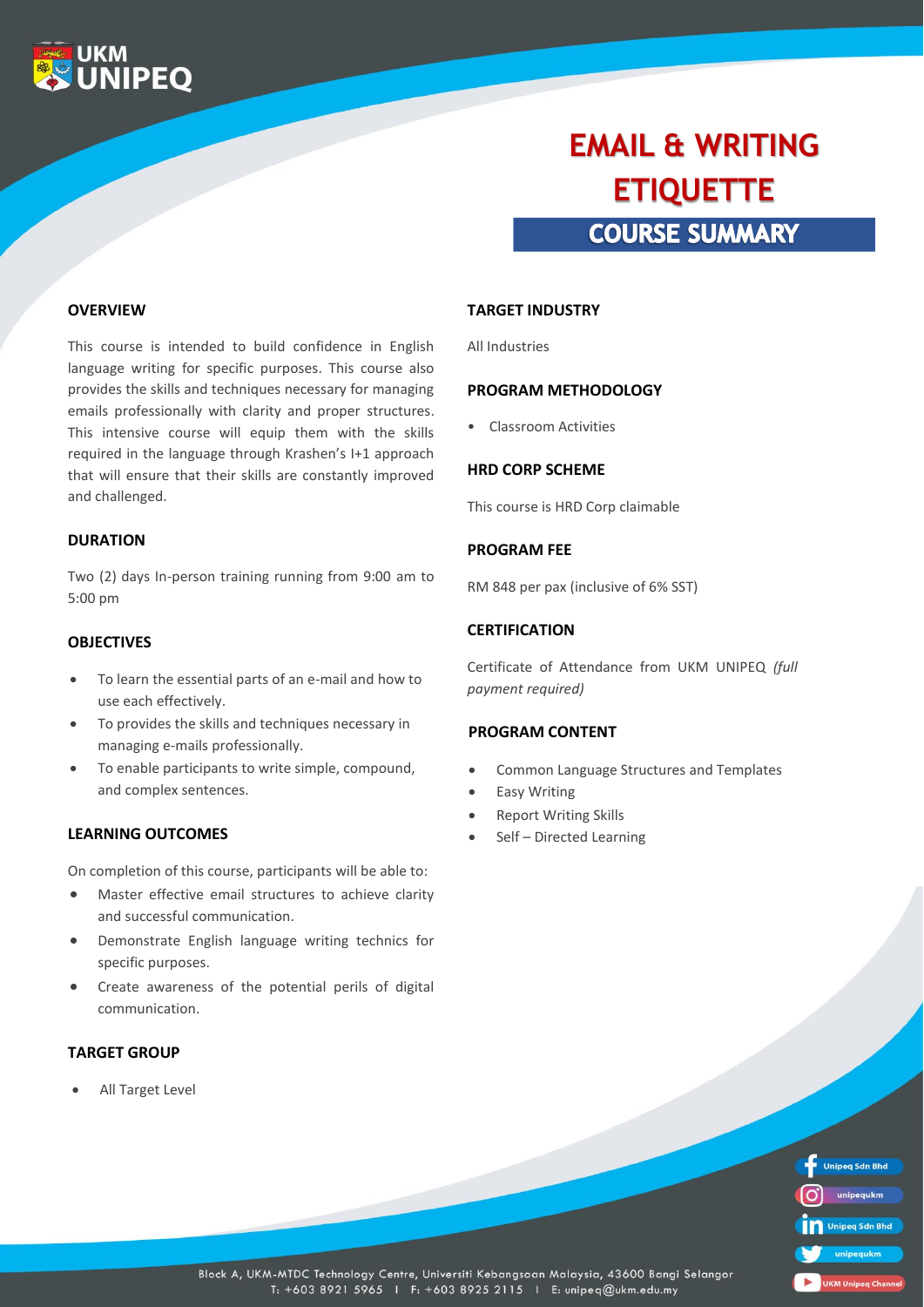

# **COURSE SUMMARY EMAIL & WRITING ETIQUETTE**

#### **OVERVIEW**

This course is intended to build confidence in English language writing for specific purposes. This course also provides the skills and techniques necessary for managing emails professionally with clarity and proper structures. This intensive course will equip them with the skills required in the language through Krashen's I+1 approach that will ensure that their skills are constantly improved and challenged.

#### **DURATION**

Two (2) days In-person training running from 9:00 am to 5:00 pm

#### **OBJECTIVES**

- To learn the essential parts of an e-mail and how to use each effectively.
- To provides the skills and techniques necessary in managing e-mails professionally.
- To enable participants to write simple, compound, and complex sentences.

#### **LEARNING OUTCOMES**

On completion of this course, participants will be able to:

- Master effective email structures to achieve clarity and successful communication.
- Demonstrate English language writing technics for specific purposes.
- Create awareness of the potential perils of digital communication.

## **TARGET GROUP**

All Target Level

#### **TARGET INDUSTRY**

All Industries

#### **PROGRAM METHODOLOGY**

• Classroom Activities

#### **HRD CORP SCHEME**

This course is HRD Corp claimable

#### **PROGRAM FEE**

RM 848 per pax (inclusive of 6% SST)

#### **CERTIFICATION**

Certificate of Attendance from UKM UNIPEQ *(full payment required)*

#### **PROGRAM CONTENT**

- Common Language Structures and Templates
- Easy Writing
- **Report Writing Skills**
- Self Directed Learning

| <b>Unipeg Sdn Bhd</b>     |
|---------------------------|
| unipequkm                 |
| Unipeg Sdn Bhd            |
| unipequkm                 |
| <b>UKM Unipeg Channel</b> |

Block A, UKM-MTDC Technology Centre, Universiti Kebangsaan Malaysia, 43600 Bangi Selangor T: +603 8921 5965 | F: +603 8925 2115 | E: unipeq@ukm.edu.my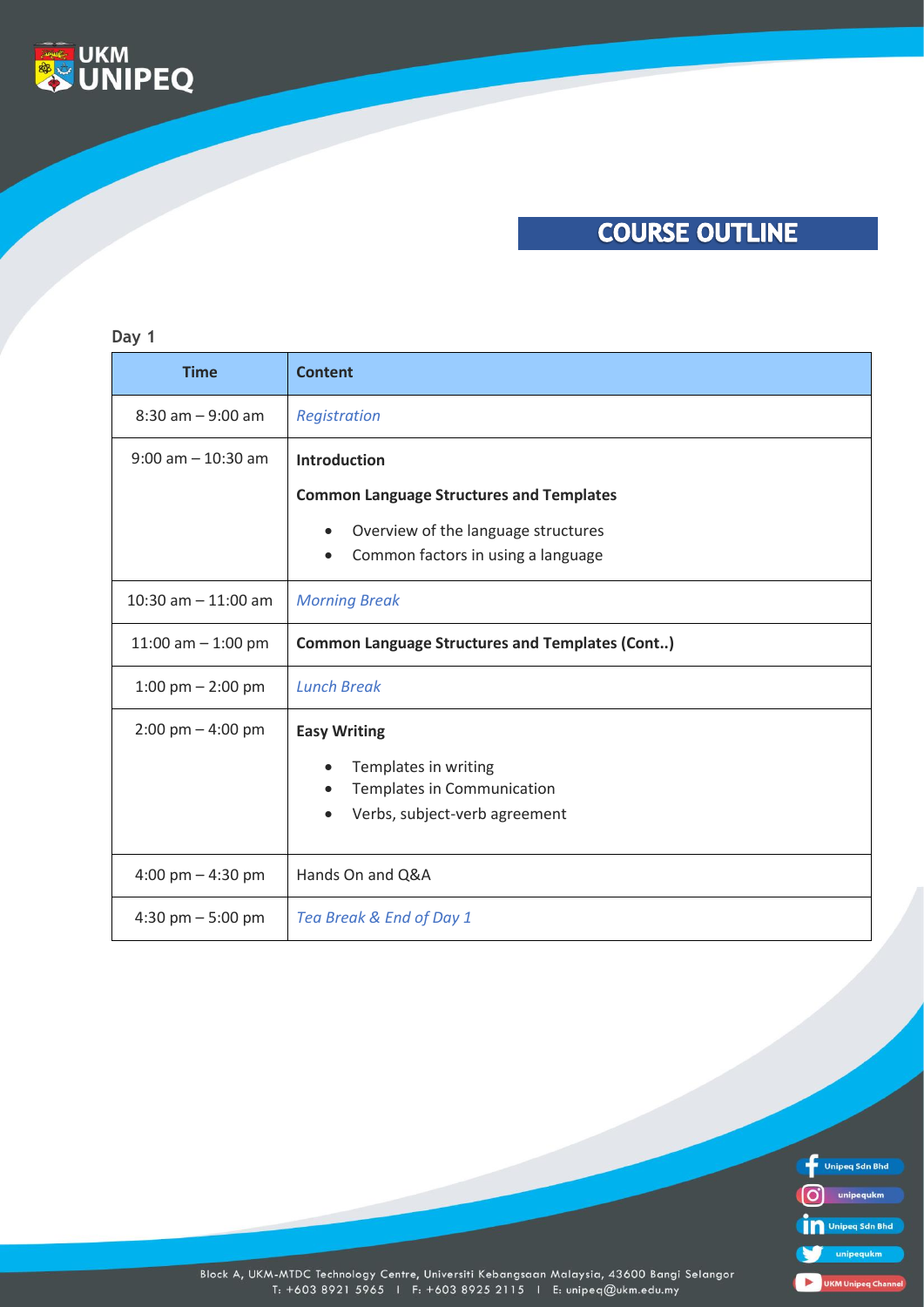

# **COURSE OUTLINE**

## **Day 1**

| <b>Time</b>                         | <b>Content</b>                                         |
|-------------------------------------|--------------------------------------------------------|
| $8:30$ am $-9:00$ am                | Registration                                           |
| $9:00$ am $-10:30$ am               | <b>Introduction</b>                                    |
|                                     | <b>Common Language Structures and Templates</b>        |
|                                     | Overview of the language structures<br>$\bullet$       |
|                                     | Common factors in using a language<br>$\bullet$        |
| 10:30 am $-$ 11:00 am               | <b>Morning Break</b>                                   |
| 11:00 am $-$ 1:00 pm                | <b>Common Language Structures and Templates (Cont)</b> |
| 1:00 pm $-$ 2:00 pm                 | <b>Lunch Break</b>                                     |
| $2:00 \text{ pm} - 4:00 \text{ pm}$ | <b>Easy Writing</b>                                    |
|                                     | Templates in writing                                   |
|                                     | Templates in Communication                             |
|                                     | Verbs, subject-verb agreement                          |
| 4:00 pm $-$ 4:30 pm                 | Hands On and Q&A                                       |
| 4:30 pm $-5:00$ pm                  | Tea Break & End of Day 1                               |



Block A, UKM-MTDC Technology Centre, Universiti Kebangsaan Malaysia, 43600 Bangi Selangor<br>T: +603 8921 5965 1 F: +603 8925 2115 1 E: unipeq@ukm.edu.my